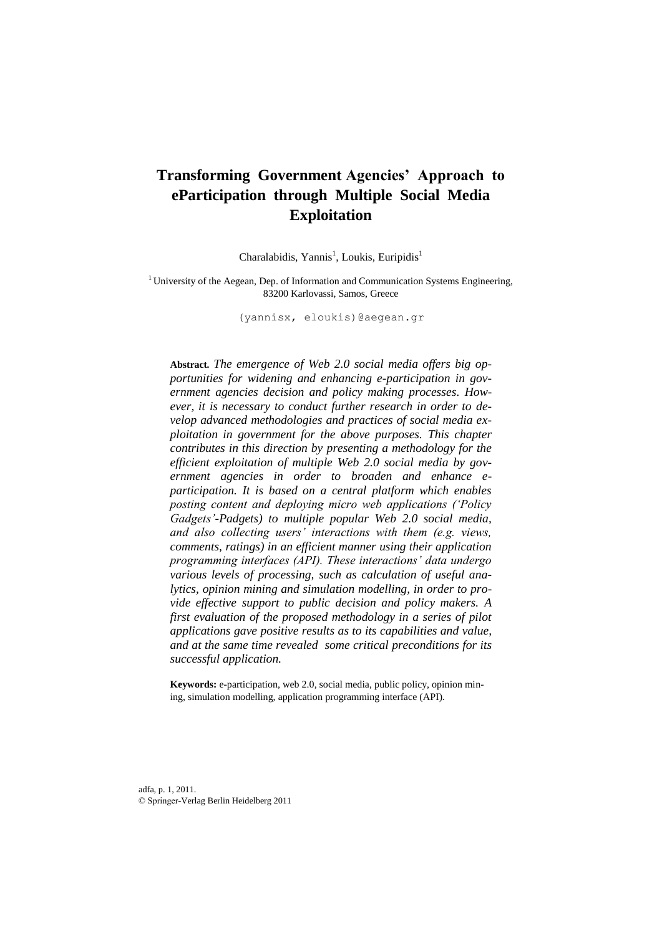# **Transforming Government Agencies' Approach to eParticipation through Multiple Social Media Exploitation**

Charalabidis, Yannis<sup>1</sup>, Loukis, Euripidis<sup>1</sup>

 $1$ University of the Aegean, Dep. of Information and Communication Systems Engineering, 83200 Karlovassi, Samos, Greece

(yannisx, eloukis)@aegean.gr

**Abstract***. The emergence of Web 2.0 social media offers big opportunities for widening and enhancing e-participation in government agencies decision and policy making processes. However, it is necessary to conduct further research in order to develop advanced methodologies and practices of social media exploitation in government for the above purposes. This chapter contributes in this direction by presenting a methodology for the efficient exploitation of multiple Web 2.0 social media by government agencies in order to broaden and enhance eparticipation. It is based on a central platform which enables posting content and deploying micro web applications ('Policy Gadgets'-Padgets) to multiple popular Web 2.0 social media, and also collecting users' interactions with them (e.g. views, comments, ratings) in an efficient manner using their application programming interfaces (API). These interactions' data undergo various levels of processing, such as calculation of useful analytics, opinion mining and simulation modelling, in order to provide effective support to public decision and policy makers. A first evaluation of the proposed methodology in a series of pilot applications gave positive results as to its capabilities and value, and at the same time revealed some critical preconditions for its successful application.*

**Keywords:** e-participation, web 2.0, social media, public policy, opinion mining, simulation modelling, application programming interface (API).

adfa, p. 1, 2011. © Springer-Verlag Berlin Heidelberg 2011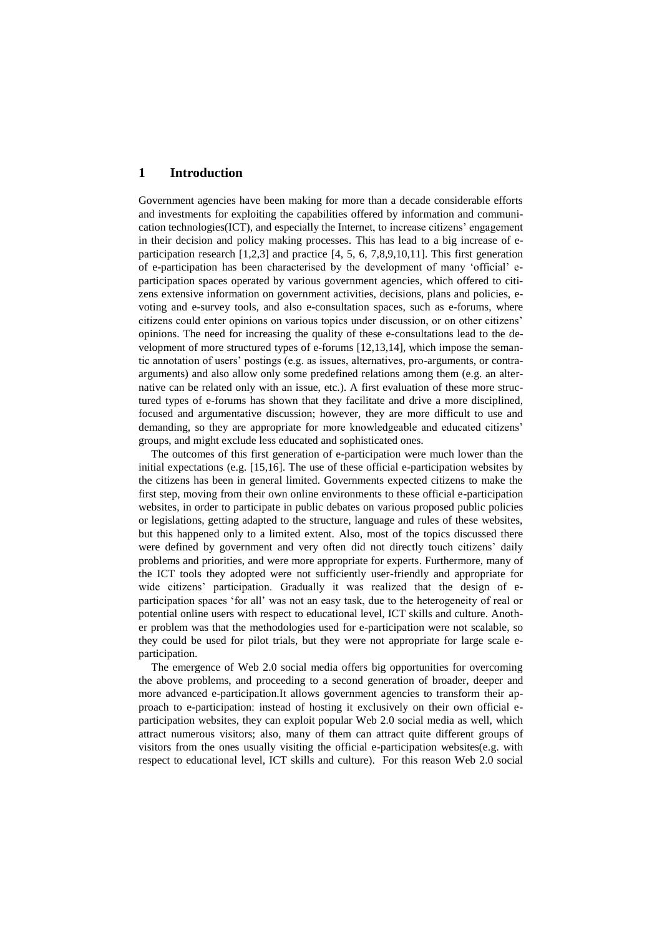### **1 Introduction**

Government agencies have been making for more than a decade considerable efforts and investments for exploiting the capabilities offered by information and communication technologies(ICT), and especially the Internet, to increase citizens" engagement in their decision and policy making processes. This has lead to a big increase of eparticipation research [1,2,3] and practice [4, 5, 6, 7,8,9,10,11]. This first generation of e-participation has been characterised by the development of many "official" eparticipation spaces operated by various government agencies, which offered to citizens extensive information on government activities, decisions, plans and policies, evoting and e-survey tools, and also e-consultation spaces, such as e-forums, where citizens could enter opinions on various topics under discussion, or on other citizens" opinions. The need for increasing the quality of these e-consultations lead to the development of more structured types of e-forums [12,13,14], which impose the semantic annotation of users" postings (e.g. as issues, alternatives, pro-arguments, or contraarguments) and also allow only some predefined relations among them (e.g. an alternative can be related only with an issue, etc.). A first evaluation of these more structured types of e-forums has shown that they facilitate and drive a more disciplined, focused and argumentative discussion; however, they are more difficult to use and demanding, so they are appropriate for more knowledgeable and educated citizens' groups, and might exclude less educated and sophisticated ones.

The outcomes of this first generation of e-participation were much lower than the initial expectations (e.g. [15,16]. The use of these official e-participation websites by the citizens has been in general limited. Governments expected citizens to make the first step, moving from their own online environments to these official e-participation websites, in order to participate in public debates on various proposed public policies or legislations, getting adapted to the structure, language and rules of these websites, but this happened only to a limited extent. Also, most of the topics discussed there were defined by government and very often did not directly touch citizens" daily problems and priorities, and were more appropriate for experts. Furthermore, many of the ICT tools they adopted were not sufficiently user-friendly and appropriate for wide citizens' participation. Gradually it was realized that the design of eparticipation spaces "for all" was not an easy task, due to the heterogeneity of real or potential online users with respect to educational level, ICT skills and culture. Another problem was that the methodologies used for e-participation were not scalable, so they could be used for pilot trials, but they were not appropriate for large scale eparticipation.

The emergence of Web 2.0 social media offers big opportunities for overcoming the above problems, and proceeding to a second generation of broader, deeper and more advanced e-participation.It allows government agencies to transform their approach to e-participation: instead of hosting it exclusively on their own official eparticipation websites, they can exploit popular Web 2.0 social media as well, which attract numerous visitors; also, many of them can attract quite different groups of visitors from the ones usually visiting the official e-participation websites(e.g. with respect to educational level, ICT skills and culture). For this reason Web 2.0 social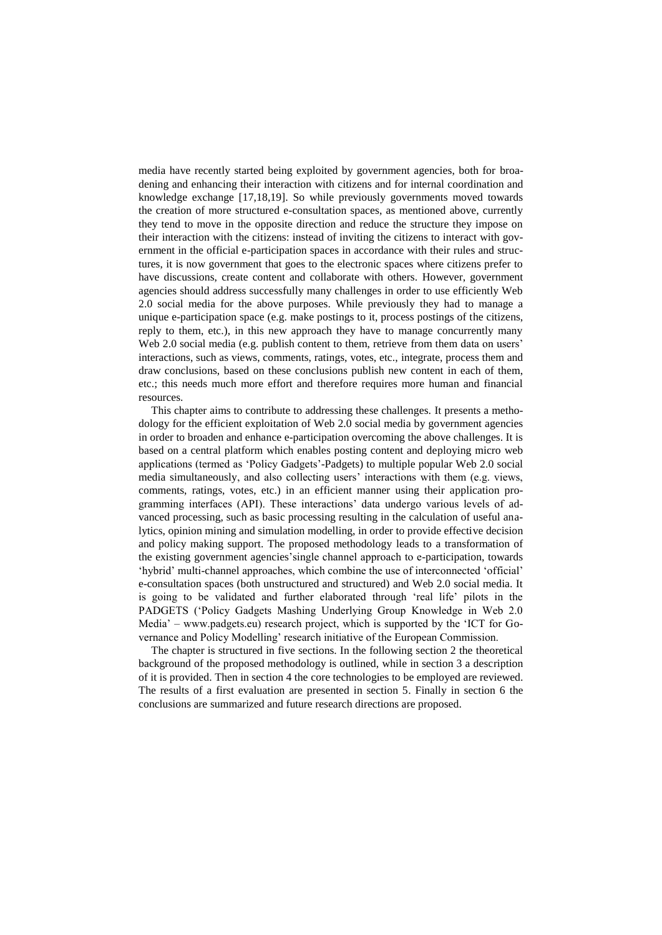media have recently started being exploited by government agencies, both for broadening and enhancing their interaction with citizens and for internal coordination and knowledge exchange [17,18,19]. So while previously governments moved towards the creation of more structured e-consultation spaces, as mentioned above, currently they tend to move in the opposite direction and reduce the structure they impose on their interaction with the citizens: instead of inviting the citizens to interact with government in the official e-participation spaces in accordance with their rules and structures, it is now government that goes to the electronic spaces where citizens prefer to have discussions, create content and collaborate with others. However, government agencies should address successfully many challenges in order to use efficiently Web 2.0 social media for the above purposes. While previously they had to manage a unique e-participation space (e.g. make postings to it, process postings of the citizens, reply to them, etc.), in this new approach they have to manage concurrently many Web 2.0 social media (e.g. publish content to them, retrieve from them data on users' interactions, such as views, comments, ratings, votes, etc., integrate, process them and draw conclusions, based on these conclusions publish new content in each of them, etc.; this needs much more effort and therefore requires more human and financial resources.

This chapter aims to contribute to addressing these challenges. It presents a methodology for the efficient exploitation of Web 2.0 social media by government agencies in order to broaden and enhance e-participation overcoming the above challenges. It is based on a central platform which enables posting content and deploying micro web applications (termed as "Policy Gadgets"-Padgets) to multiple popular Web 2.0 social media simultaneously, and also collecting users' interactions with them (e.g. views, comments, ratings, votes, etc.) in an efficient manner using their application programming interfaces (API). These interactions" data undergo various levels of advanced processing, such as basic processing resulting in the calculation of useful analytics, opinion mining and simulation modelling, in order to provide effective decision and policy making support. The proposed methodology leads to a transformation of the existing government agencies"single channel approach to e-participation, towards "hybrid" multi-channel approaches, which combine the use of interconnected "official" e-consultation spaces (both unstructured and structured) and Web 2.0 social media. It is going to be validated and further elaborated through "real life" pilots in the PADGETS ("Policy Gadgets Mashing Underlying Group Knowledge in Web 2.0 Media" – www.padgets.eu) research project, which is supported by the "ICT for Governance and Policy Modelling' research initiative of the European Commission.

The chapter is structured in five sections. In the following section 2 the theoretical background of the proposed methodology is outlined, while in section 3 a description of it is provided. Then in section 4 the core technologies to be employed are reviewed. The results of a first evaluation are presented in section 5. Finally in section 6 the conclusions are summarized and future research directions are proposed.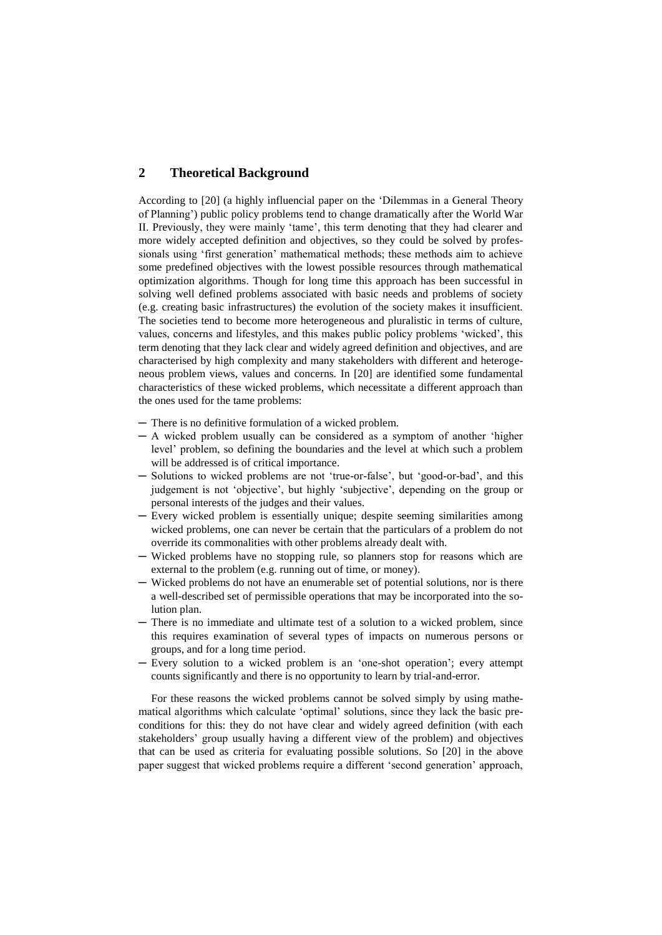# **2 Theoretical Background**

According to [20] (a highly influencial paper on the "Dilemmas in a General Theory of Planning") public policy problems tend to change dramatically after the World War II. Previously, they were mainly "tame", this term denoting that they had clearer and more widely accepted definition and objectives, so they could be solved by professionals using 'first generation' mathematical methods; these methods aim to achieve some predefined objectives with the lowest possible resources through mathematical optimization algorithms. Though for long time this approach has been successful in solving well defined problems associated with basic needs and problems of society (e.g. creating basic infrastructures) the evolution of the society makes it insufficient. The societies tend to become more heterogeneous and pluralistic in terms of culture, values, concerns and lifestyles, and this makes public policy problems "wicked", this term denoting that they lack clear and widely agreed definition and objectives, and are characterised by high complexity and many stakeholders with different and heterogeneous problem views, values and concerns. In [20] are identified some fundamental characteristics of these wicked problems, which necessitate a different approach than the ones used for the tame problems:

- ─ There is no definitive formulation of a wicked problem.
- ─ A wicked problem usually can be considered as a symptom of another "higher level" problem, so defining the boundaries and the level at which such a problem will be addressed is of critical importance.
- ─ Solutions to wicked problems are not "true-or-false", but "good-or-bad", and this judgement is not "objective", but highly "subjective", depending on the group or personal interests of the judges and their values.
- ─ Every wicked problem is essentially unique; despite seeming similarities among wicked problems, one can never be certain that the particulars of a problem do not override its commonalities with other problems already dealt with.
- ─ Wicked problems have no stopping rule, so planners stop for reasons which are external to the problem (e.g. running out of time, or money).
- ─ Wicked problems do not have an enumerable set of potential solutions, nor is there a well-described set of permissible operations that may be incorporated into the solution plan.
- ─ There is no immediate and ultimate test of a solution to a wicked problem, since this requires examination of several types of impacts on numerous persons or groups, and for a long time period.
- ─ Every solution to a wicked problem is an "one-shot operation"; every attempt counts significantly and there is no opportunity to learn by trial-and-error.

For these reasons the wicked problems cannot be solved simply by using mathematical algorithms which calculate "optimal" solutions, since they lack the basic preconditions for this: they do not have clear and widely agreed definition (with each stakeholders" group usually having a different view of the problem) and objectives that can be used as criteria for evaluating possible solutions. So [20] in the above paper suggest that wicked problems require a different "second generation" approach,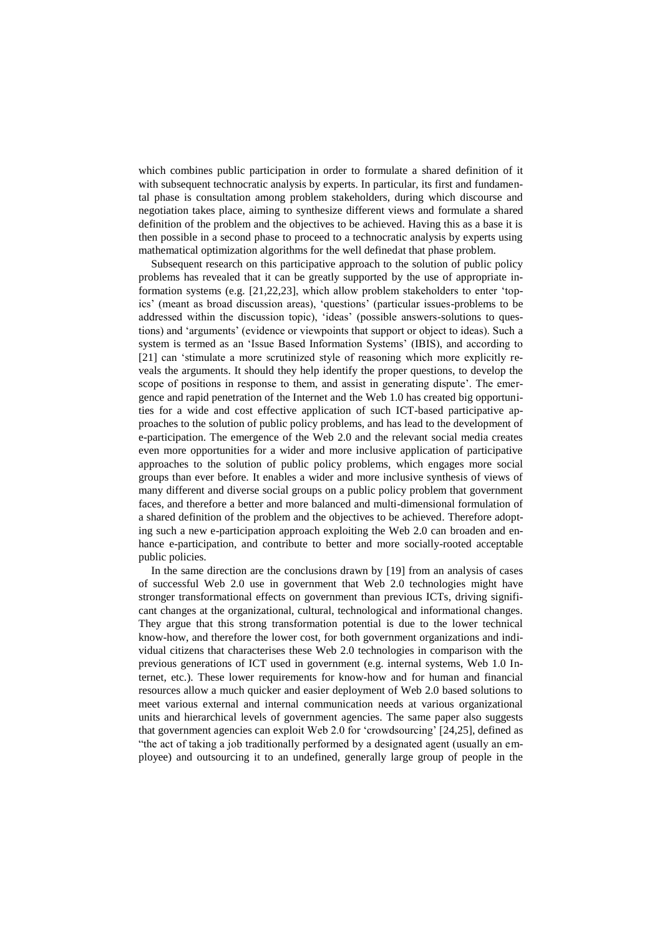which combines public participation in order to formulate a shared definition of it with subsequent technocratic analysis by experts. In particular, its first and fundamental phase is consultation among problem stakeholders, during which discourse and negotiation takes place, aiming to synthesize different views and formulate a shared definition of the problem and the objectives to be achieved. Having this as a base it is then possible in a second phase to proceed to a technocratic analysis by experts using mathematical optimization algorithms for the well definedat that phase problem.

Subsequent research on this participative approach to the solution of public policy problems has revealed that it can be greatly supported by the use of appropriate information systems (e.g. [21,22,23], which allow problem stakeholders to enter "topics" (meant as broad discussion areas), "questions" (particular issues-problems to be addressed within the discussion topic), "ideas" (possible answers-solutions to questions) and "arguments" (evidence or viewpoints that support or object to ideas). Such a system is termed as an 'Issue Based Information Systems' (IBIS), and according to [21] can "stimulate a more scrutinized style of reasoning which more explicitly reveals the arguments. It should they help identify the proper questions, to develop the scope of positions in response to them, and assist in generating dispute'. The emergence and rapid penetration of the Internet and the Web 1.0 has created big opportunities for a wide and cost effective application of such ICT-based participative approaches to the solution of public policy problems, and has lead to the development of e-participation. The emergence of the Web 2.0 and the relevant social media creates even more opportunities for a wider and more inclusive application of participative approaches to the solution of public policy problems, which engages more social groups than ever before. It enables a wider and more inclusive synthesis of views of many different and diverse social groups on a public policy problem that government faces, and therefore a better and more balanced and multi-dimensional formulation of a shared definition of the problem and the objectives to be achieved. Therefore adopting such a new e-participation approach exploiting the Web 2.0 can broaden and enhance e-participation, and contribute to better and more socially-rooted acceptable public policies.

In the same direction are the conclusions drawn by [19] from an analysis of cases of successful Web 2.0 use in government that Web 2.0 technologies might have stronger transformational effects on government than previous ICTs, driving significant changes at the organizational, cultural, technological and informational changes. They argue that this strong transformation potential is due to the lower technical know-how, and therefore the lower cost, for both government organizations and individual citizens that characterises these Web 2.0 technologies in comparison with the previous generations of ICT used in government (e.g. internal systems, Web 1.0 Internet, etc.). These lower requirements for know-how and for human and financial resources allow a much quicker and easier deployment of Web 2.0 based solutions to meet various external and internal communication needs at various organizational units and hierarchical levels of government agencies. The same paper also suggests that government agencies can exploit Web 2.0 for "crowdsourcing" [24,25], defined as "the act of taking a job traditionally performed by a designated agent (usually an employee) and outsourcing it to an undefined, generally large group of people in the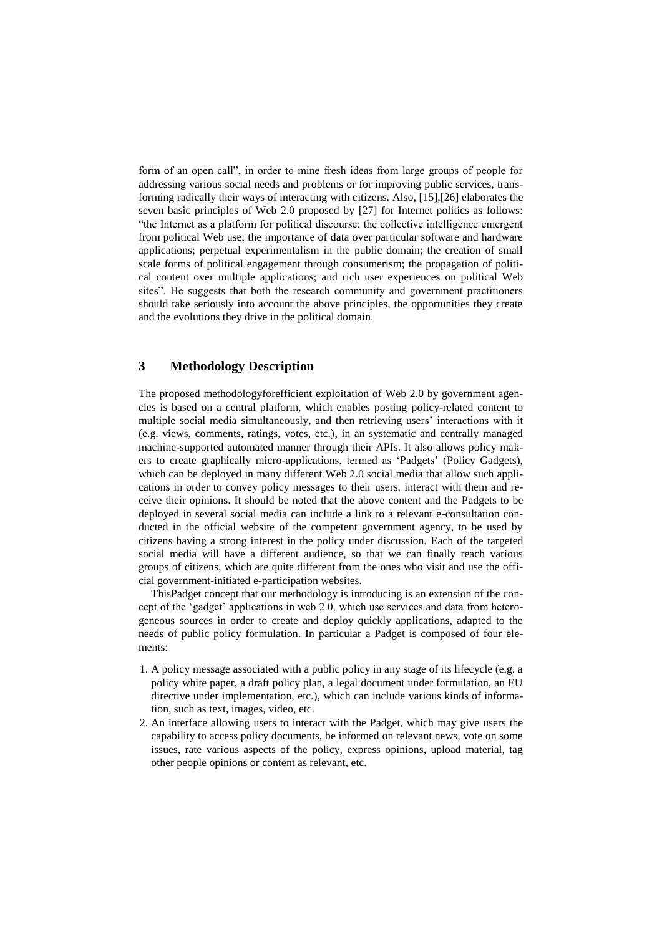form of an open call", in order to mine fresh ideas from large groups of people for addressing various social needs and problems or for improving public services, transforming radically their ways of interacting with citizens. Also, [15],[26] elaborates the seven basic principles of Web 2.0 proposed by [27] for Internet politics as follows: "the Internet as a platform for political discourse; the collective intelligence emergent from political Web use; the importance of data over particular software and hardware applications; perpetual experimentalism in the public domain; the creation of small scale forms of political engagement through consumerism; the propagation of political content over multiple applications; and rich user experiences on political Web sites". He suggests that both the research community and government practitioners should take seriously into account the above principles, the opportunities they create and the evolutions they drive in the political domain.

# **3 Methodology Description**

The proposed methodologyforefficient exploitation of Web 2.0 by government agencies is based on a central platform, which enables posting policy-related content to multiple social media simultaneously, and then retrieving users" interactions with it (e.g. views, comments, ratings, votes, etc.), in an systematic and centrally managed machine-supported automated manner through their APIs. It also allows policy makers to create graphically micro-applications, termed as 'Padgets' (Policy Gadgets), which can be deployed in many different Web 2.0 social media that allow such applications in order to convey policy messages to their users, interact with them and receive their opinions. It should be noted that the above content and the Padgets to be deployed in several social media can include a link to a relevant e-consultation conducted in the official website of the competent government agency, to be used by citizens having a strong interest in the policy under discussion. Each of the targeted social media will have a different audience, so that we can finally reach various groups of citizens, which are quite different from the ones who visit and use the official government-initiated e-participation websites.

ThisPadget concept that our methodology is introducing is an extension of the concept of the "gadget" applications in web 2.0, which use services and data from heterogeneous sources in order to create and deploy quickly applications, adapted to the needs of public policy formulation. In particular a Padget is composed of four elements:

- 1. A policy message associated with a public policy in any stage of its lifecycle (e.g. a policy white paper, a draft policy plan, a legal document under formulation, an EU directive under implementation, etc.), which can include various kinds of information, such as text, images, video, etc.
- 2. An interface allowing users to interact with the Padget, which may give users the capability to access policy documents, be informed on relevant news, vote on some issues, rate various aspects of the policy, express opinions, upload material, tag other people opinions or content as relevant, etc.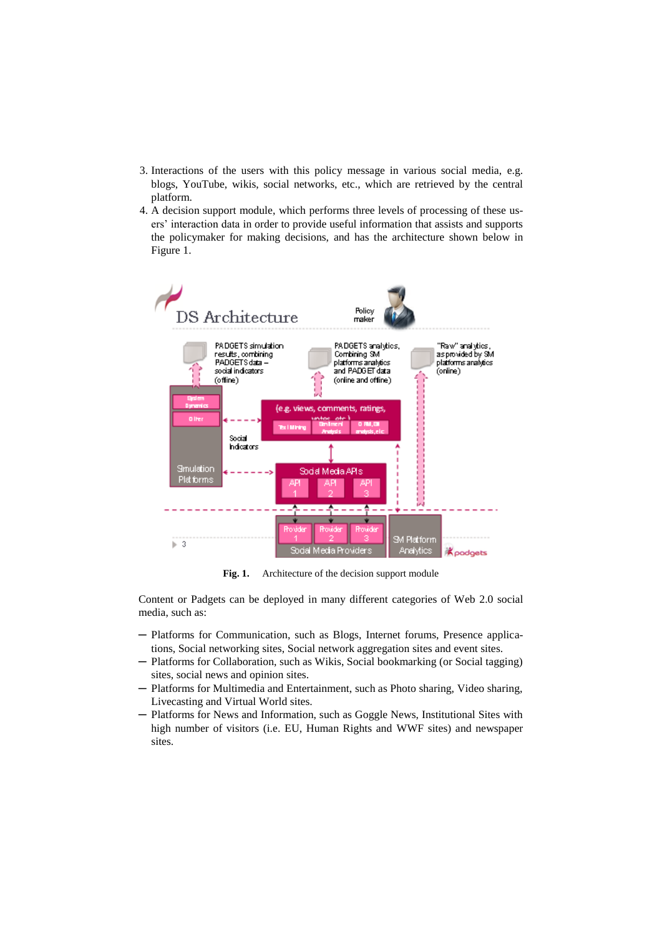- 3. Interactions of the users with this policy message in various social media, e.g. blogs, YouTube, wikis, social networks, etc., which are retrieved by the central platform.
- 4. A decision support module, which performs three levels of processing of these users" interaction data in order to provide useful information that assists and supports the policymaker for making decisions, and has the architecture shown below in Figure 1.



**Fig. 1.** Architecture of the decision support module

Content or Padgets can be deployed in many different categories of Web 2.0 social media, such as:

- ─ Platforms for Communication, such as Blogs, Internet forums, Presence applications, Social networking sites, Social network aggregation sites and event sites.
- ─ Platforms for Collaboration, such as Wikis, Social bookmarking (or Social tagging) sites, social news and opinion sites.
- ─ Platforms for Multimedia and Entertainment, such as Photo sharing, Video sharing, Livecasting and Virtual World sites.
- ─ Platforms for News and Information, such as Goggle News, Institutional Sites with high number of visitors (i.e. EU, Human Rights and WWF sites) and newspaper sites.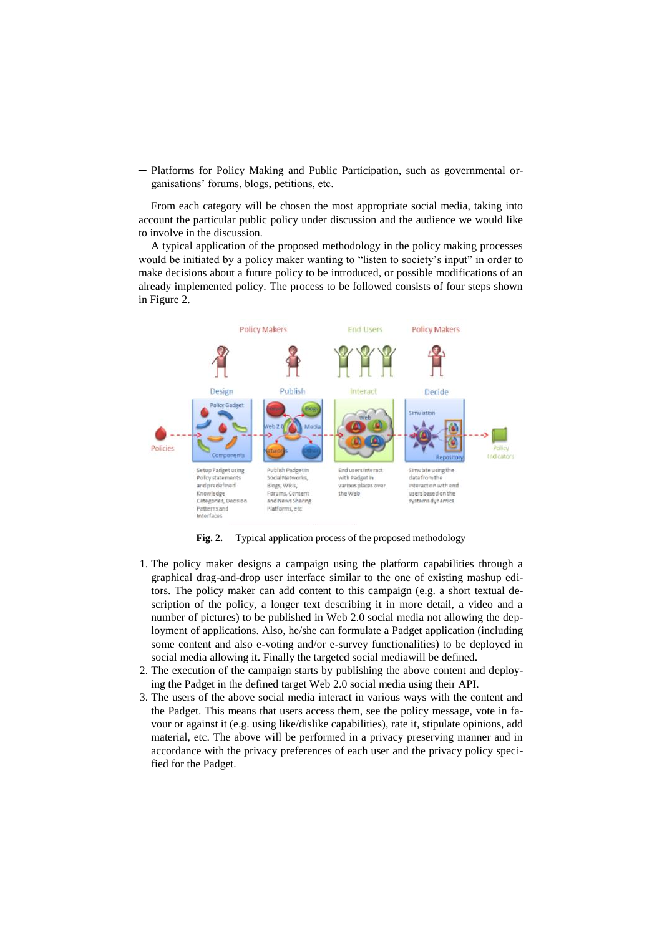─ Platforms for Policy Making and Public Participation, such as governmental organisations" forums, blogs, petitions, etc.

From each category will be chosen the most appropriate social media, taking into account the particular public policy under discussion and the audience we would like to involve in the discussion.

A typical application of the proposed methodology in the policy making processes would be initiated by a policy maker wanting to "listen to society's input" in order to make decisions about a future policy to be introduced, or possible modifications of an already implemented policy. The process to be followed consists of four steps shown in Figure 2.



**Fig. 2.** Typical application process of the proposed methodology

- 1. The policy maker designs a campaign using the platform capabilities through a graphical drag-and-drop user interface similar to the one of existing mashup editors. The policy maker can add content to this campaign (e.g. a short textual description of the policy, a longer text describing it in more detail, a video and a number of pictures) to be published in Web 2.0 social media not allowing the deployment of applications. Also, he/she can formulate a Padget application (including some content and also e-voting and/or e-survey functionalities) to be deployed in social media allowing it. Finally the targeted social mediawill be defined.
- 2. The execution of the campaign starts by publishing the above content and deploying the Padget in the defined target Web 2.0 social media using their API.
- 3. The users of the above social media interact in various ways with the content and the Padget. This means that users access them, see the policy message, vote in favour or against it (e.g. using like/dislike capabilities), rate it, stipulate opinions, add material, etc. The above will be performed in a privacy preserving manner and in accordance with the privacy preferences of each user and the privacy policy specified for the Padget.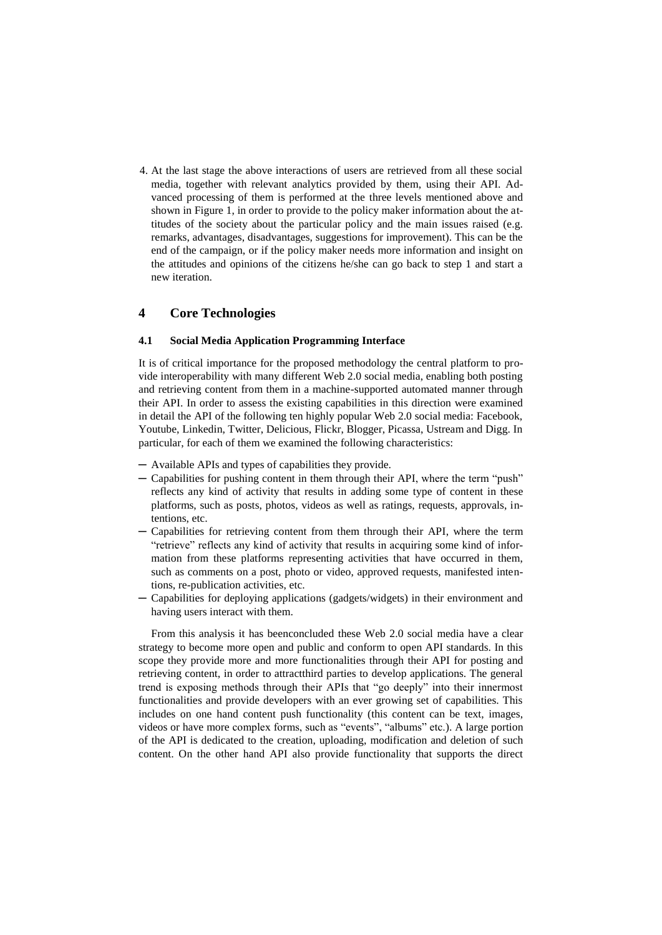4. At the last stage the above interactions of users are retrieved from all these social media, together with relevant analytics provided by them, using their API. Advanced processing of them is performed at the three levels mentioned above and shown in Figure 1, in order to provide to the policy maker information about the attitudes of the society about the particular policy and the main issues raised (e.g. remarks, advantages, disadvantages, suggestions for improvement). This can be the end of the campaign, or if the policy maker needs more information and insight on the attitudes and opinions of the citizens he/she can go back to step 1 and start a new iteration.

# **4 Core Technologies**

#### **4.1 Social Media Application Programming Interface**

It is of critical importance for the proposed methodology the central platform to provide interoperability with many different Web 2.0 social media, enabling both posting and retrieving content from them in a machine-supported automated manner through their API. In order to assess the existing capabilities in this direction were examined in detail the API of the following ten highly popular Web 2.0 social media: Facebook, Youtube, Linkedin, Twitter, Delicious, Flickr, Blogger, Picassa, Ustream and Digg. In particular, for each of them we examined the following characteristics:

- ─ Available APIs and types of capabilities they provide.
- ─ Capabilities for pushing content in them through their API, where the term "push" reflects any kind of activity that results in adding some type of content in these platforms, such as posts, photos, videos as well as ratings, requests, approvals, intentions, etc.
- ─ Capabilities for retrieving content from them through their API, where the term "retrieve" reflects any kind of activity that results in acquiring some kind of information from these platforms representing activities that have occurred in them, such as comments on a post, photo or video, approved requests, manifested intentions, re-publication activities, etc.
- ─ Capabilities for deploying applications (gadgets/widgets) in their environment and having users interact with them.

From this analysis it has beenconcluded these Web 2.0 social media have a clear strategy to become more open and public and conform to open API standards. In this scope they provide more and more functionalities through their API for posting and retrieving content, in order to attractthird parties to develop applications. The general trend is exposing methods through their APIs that "go deeply" into their innermost functionalities and provide developers with an ever growing set of capabilities. This includes on one hand content push functionality (this content can be text, images, videos or have more complex forms, such as "events", "albums" etc.). A large portion of the API is dedicated to the creation, uploading, modification and deletion of such content. On the other hand API also provide functionality that supports the direct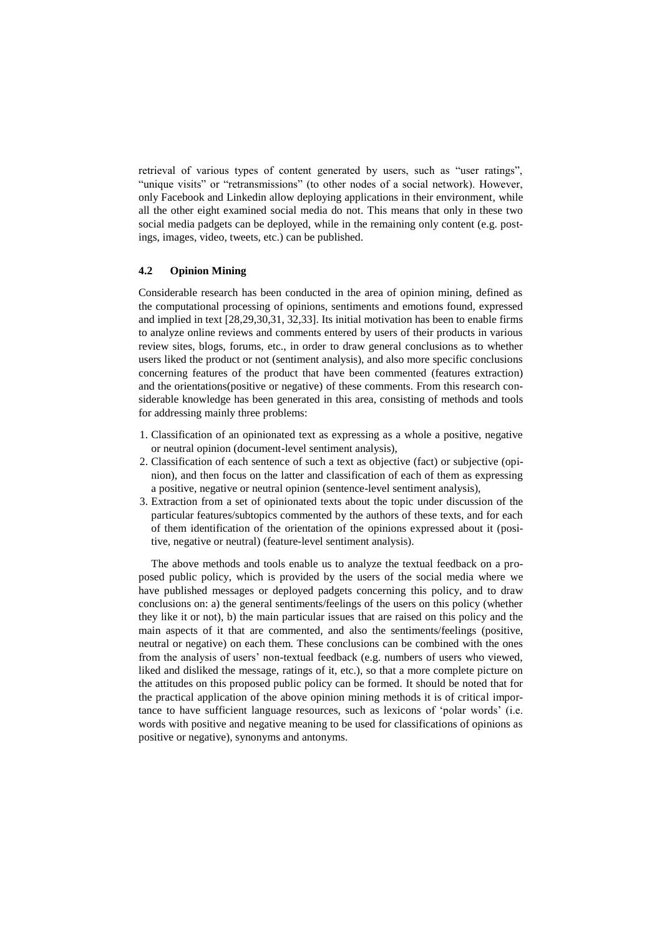retrieval of various types of content generated by users, such as "user ratings", "unique visits" or "retransmissions" (to other nodes of a social network). However, only Facebook and Linkedin allow deploying applications in their environment, while all the other eight examined social media do not. This means that only in these two social media padgets can be deployed, while in the remaining only content (e.g. postings, images, video, tweets, etc.) can be published.

#### **4.2 Opinion Mining**

Considerable research has been conducted in the area of opinion mining, defined as the computational processing of opinions, sentiments and emotions found, expressed and implied in text [28,29,30,31, 32,33]. Its initial motivation has been to enable firms to analyze online reviews and comments entered by users of their products in various review sites, blogs, forums, etc., in order to draw general conclusions as to whether users liked the product or not (sentiment analysis), and also more specific conclusions concerning features of the product that have been commented (features extraction) and the orientations(positive or negative) of these comments. From this research considerable knowledge has been generated in this area, consisting of methods and tools for addressing mainly three problems:

- 1. Classification of an opinionated text as expressing as a whole a positive, negative or neutral opinion (document-level sentiment analysis),
- 2. Classification of each sentence of such a text as objective (fact) or subjective (opinion), and then focus on the latter and classification of each of them as expressing a positive, negative or neutral opinion (sentence-level sentiment analysis),
- 3. Extraction from a set of opinionated texts about the topic under discussion of the particular features/subtopics commented by the authors of these texts, and for each of them identification of the orientation of the opinions expressed about it (positive, negative or neutral) (feature-level sentiment analysis).

The above methods and tools enable us to analyze the textual feedback on a proposed public policy, which is provided by the users of the social media where we have published messages or deployed padgets concerning this policy, and to draw conclusions on: a) the general sentiments/feelings of the users on this policy (whether they like it or not), b) the main particular issues that are raised on this policy and the main aspects of it that are commented, and also the sentiments/feelings (positive, neutral or negative) on each them. These conclusions can be combined with the ones from the analysis of users' non-textual feedback (e.g. numbers of users who viewed, liked and disliked the message, ratings of it, etc.), so that a more complete picture on the attitudes on this proposed public policy can be formed. It should be noted that for the practical application of the above opinion mining methods it is of critical importance to have sufficient language resources, such as lexicons of "polar words" (i.e. words with positive and negative meaning to be used for classifications of opinions as positive or negative), synonyms and antonyms.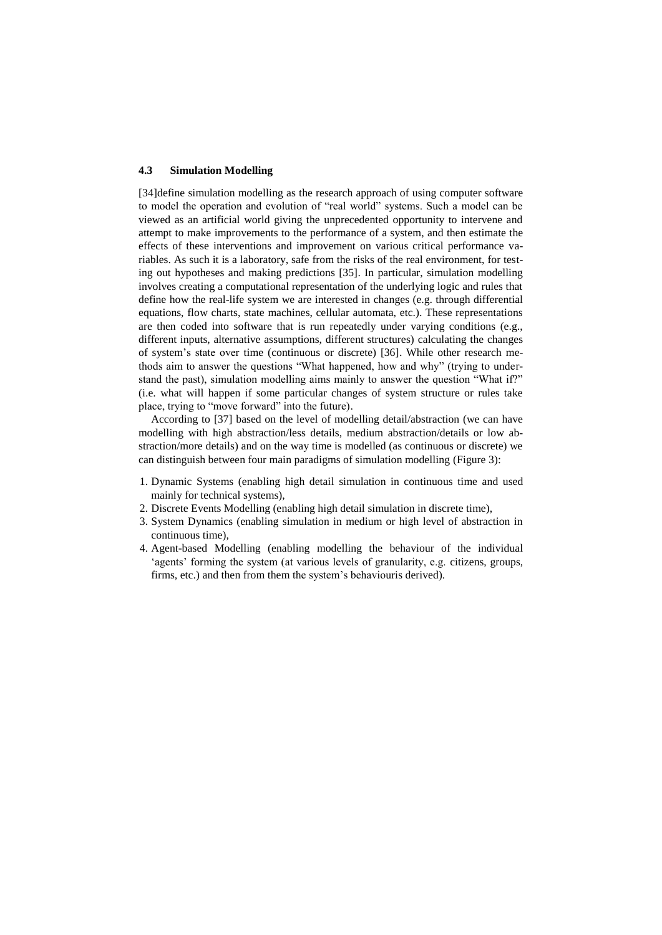#### **4.3 Simulation Modelling**

[34]define simulation modelling as the research approach of using computer software to model the operation and evolution of "real world" systems. Such a model can be viewed as an artificial world giving the unprecedented opportunity to intervene and attempt to make improvements to the performance of a system, and then estimate the effects of these interventions and improvement on various critical performance variables. As such it is a laboratory, safe from the risks of the real environment, for testing out hypotheses and making predictions [35]. In particular, simulation modelling involves creating a computational representation of the underlying logic and rules that define how the real-life system we are interested in changes (e.g. through differential equations, flow charts, state machines, cellular automata, etc.). These representations are then coded into software that is run repeatedly under varying conditions (e.g., different inputs, alternative assumptions, different structures) calculating the changes of system"s state over time (continuous or discrete) [36]. While other research methods aim to answer the questions "What happened, how and why" (trying to understand the past), simulation modelling aims mainly to answer the question "What if?" (i.e. what will happen if some particular changes of system structure or rules take place, trying to "move forward" into the future).

According to [37] based on the level of modelling detail/abstraction (we can have modelling with high abstraction/less details, medium abstraction/details or low abstraction/more details) and on the way time is modelled (as continuous or discrete) we can distinguish between four main paradigms of simulation modelling (Figure 3):

- 1. Dynamic Systems (enabling high detail simulation in continuous time and used mainly for technical systems),
- 2. Discrete Events Modelling (enabling high detail simulation in discrete time),
- 3. System Dynamics (enabling simulation in medium or high level of abstraction in continuous time),
- 4. Agent-based Modelling (enabling modelling the behaviour of the individual 'agents' forming the system (at various levels of granularity, e.g. citizens, groups, firms, etc.) and then from them the system"s behaviouris derived).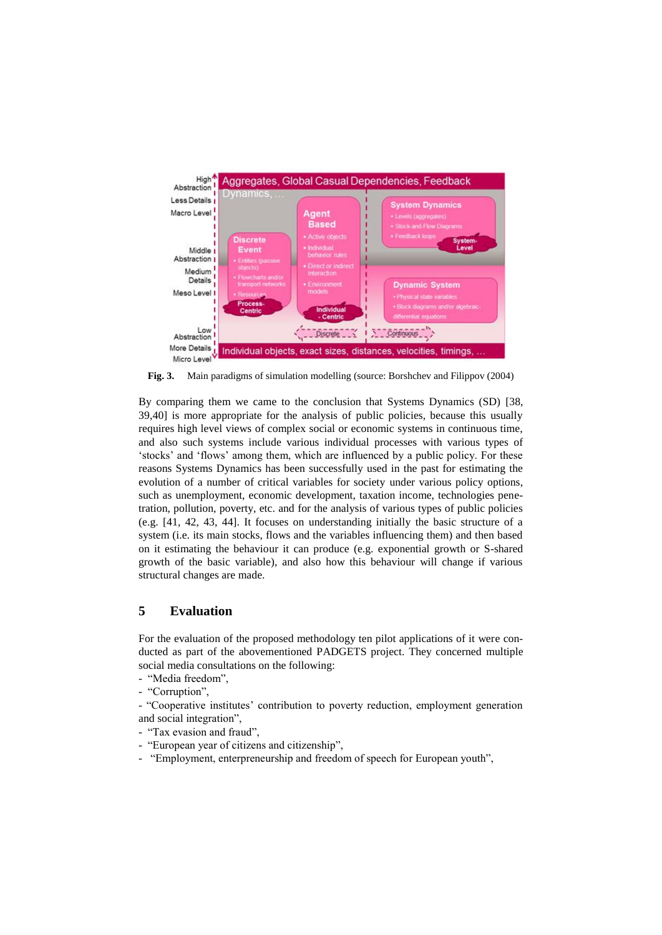

**Fig. 3.** Main paradigms of simulation modelling (source: Borshchev and Filippov (2004)

By comparing them we came to the conclusion that Systems Dynamics (SD) [38, 39,40] is more appropriate for the analysis of public policies, because this usually requires high level views of complex social or economic systems in continuous time, and also such systems include various individual processes with various types of 'stocks' and 'flows' among them, which are influenced by a public policy. For these reasons Systems Dynamics has been successfully used in the past for estimating the evolution of a number of critical variables for society under various policy options, such as unemployment, economic development, taxation income, technologies penetration, pollution, poverty, etc. and for the analysis of various types of public policies (e.g. [41, 42, 43, 44]. It focuses on understanding initially the basic structure of a system (i.e. its main stocks, flows and the variables influencing them) and then based on it estimating the behaviour it can produce (e.g. exponential growth or S-shared growth of the basic variable), and also how this behaviour will change if various structural changes are made.

# **5 Evaluation**

For the evaluation of the proposed methodology ten pilot applications of it were conducted as part of the abovementioned PADGETS project. They concerned multiple social media consultations on the following:

- "Media freedom",
- "Corruption",

- "Cooperative institutes' contribution to poverty reduction, employment generation and social integration",

- "Tax evasion and fraud",
- "European year of citizens and citizenship",
- "Employment, enterpreneurship and freedom of speech for European youth",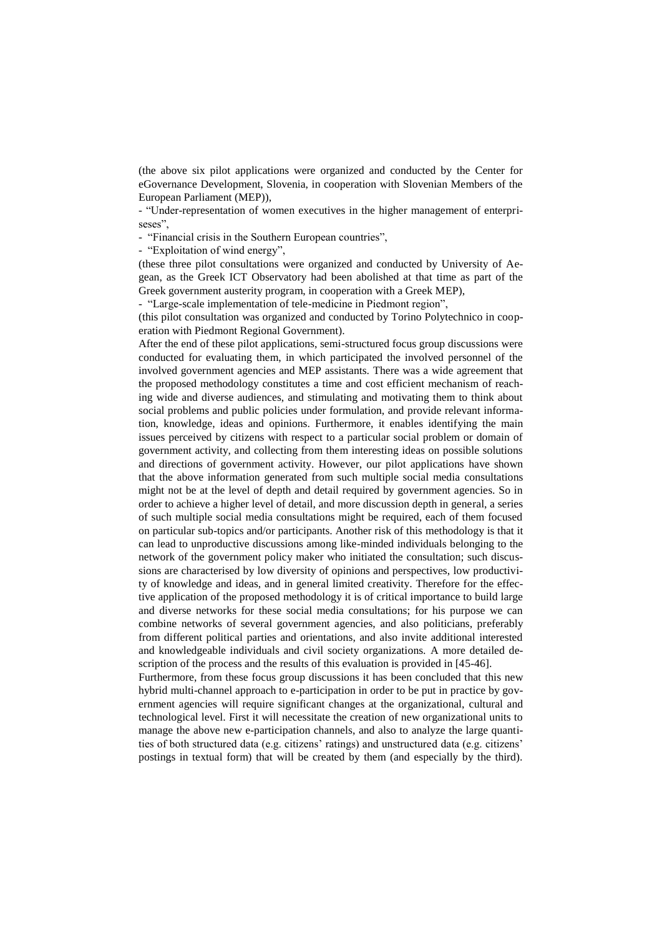(the above six pilot applications were organized and conducted by the Center for eGovernance Development, Slovenia, in cooperation with Slovenian Members of the European Parliament (MEP)),

- "Under-representation of women executives in the higher management of enterpriseses"

- "Financial crisis in the Southern European countries",

- "Exploitation of wind energy",

(these three pilot consultations were organized and conducted by University of Aegean, as the Greek ICT Observatory had been abolished at that time as part of the Greek government austerity program, in cooperation with a Greek MEP),

- "Large-scale implementation of tele-medicine in Piedmont region",

(this pilot consultation was organized and conducted by Torino Polytechnico in cooperation with Piedmont Regional Government).

After the end of these pilot applications, semi-structured focus group discussions were conducted for evaluating them, in which participated the involved personnel of the involved government agencies and MEP assistants. There was a wide agreement that the proposed methodology constitutes a time and cost efficient mechanism of reaching wide and diverse audiences, and stimulating and motivating them to think about social problems and public policies under formulation, and provide relevant information, knowledge, ideas and opinions. Furthermore, it enables identifying the main issues perceived by citizens with respect to a particular social problem or domain of government activity, and collecting from them interesting ideas on possible solutions and directions of government activity. However, our pilot applications have shown that the above information generated from such multiple social media consultations might not be at the level of depth and detail required by government agencies. So in order to achieve a higher level of detail, and more discussion depth in general, a series of such multiple social media consultations might be required, each of them focused on particular sub-topics and/or participants. Another risk of this methodology is that it can lead to unproductive discussions among like-minded individuals belonging to the network of the government policy maker who initiated the consultation; such discussions are characterised by low diversity of opinions and perspectives, low productivity of knowledge and ideas, and in general limited creativity. Therefore for the effective application of the proposed methodology it is of critical importance to build large and diverse networks for these social media consultations; for his purpose we can combine networks of several government agencies, and also politicians, preferably from different political parties and orientations, and also invite additional interested and knowledgeable individuals and civil society organizations. A more detailed description of the process and the results of this evaluation is provided in [45-46].

Furthermore, from these focus group discussions it has been concluded that this new hybrid multi-channel approach to e-participation in order to be put in practice by government agencies will require significant changes at the organizational, cultural and technological level. First it will necessitate the creation of new organizational units to manage the above new e-participation channels, and also to analyze the large quantities of both structured data (e.g. citizens" ratings) and unstructured data (e.g. citizens" postings in textual form) that will be created by them (and especially by the third).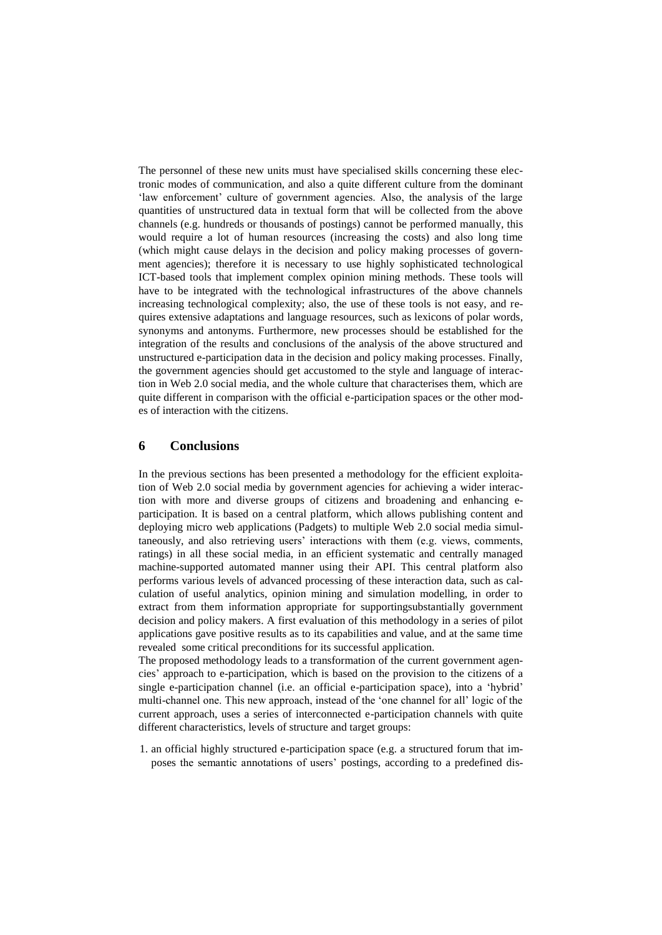The personnel of these new units must have specialised skills concerning these electronic modes of communication, and also a quite different culture from the dominant 'law enforcement' culture of government agencies. Also, the analysis of the large quantities of unstructured data in textual form that will be collected from the above channels (e.g. hundreds or thousands of postings) cannot be performed manually, this would require a lot of human resources (increasing the costs) and also long time (which might cause delays in the decision and policy making processes of government agencies); therefore it is necessary to use highly sophisticated technological ICT-based tools that implement complex opinion mining methods. These tools will have to be integrated with the technological infrastructures of the above channels increasing technological complexity; also, the use of these tools is not easy, and requires extensive adaptations and language resources, such as lexicons of polar words, synonyms and antonyms. Furthermore, new processes should be established for the integration of the results and conclusions of the analysis of the above structured and unstructured e-participation data in the decision and policy making processes. Finally, the government agencies should get accustomed to the style and language of interaction in Web 2.0 social media, and the whole culture that characterises them, which are quite different in comparison with the official e-participation spaces or the other modes of interaction with the citizens.

## **6 Conclusions**

In the previous sections has been presented a methodology for the efficient exploitation of Web 2.0 social media by government agencies for achieving a wider interaction with more and diverse groups of citizens and broadening and enhancing eparticipation. It is based on a central platform, which allows publishing content and deploying micro web applications (Padgets) to multiple Web 2.0 social media simultaneously, and also retrieving users" interactions with them (e.g. views, comments, ratings) in all these social media, in an efficient systematic and centrally managed machine-supported automated manner using their API. This central platform also performs various levels of advanced processing of these interaction data, such as calculation of useful analytics, opinion mining and simulation modelling, in order to extract from them information appropriate for supportingsubstantially government decision and policy makers. A first evaluation of this methodology in a series of pilot applications gave positive results as to its capabilities and value, and at the same time revealed some critical preconditions for its successful application.

The proposed methodology leads to a transformation of the current government agencies" approach to e-participation, which is based on the provision to the citizens of a single e-participation channel (i.e. an official e-participation space), into a "hybrid" multi-channel one. This new approach, instead of the "one channel for all" logic of the current approach, uses a series of interconnected e-participation channels with quite different characteristics, levels of structure and target groups:

1. an official highly structured e-participation space (e.g. a structured forum that imposes the semantic annotations of users" postings, according to a predefined dis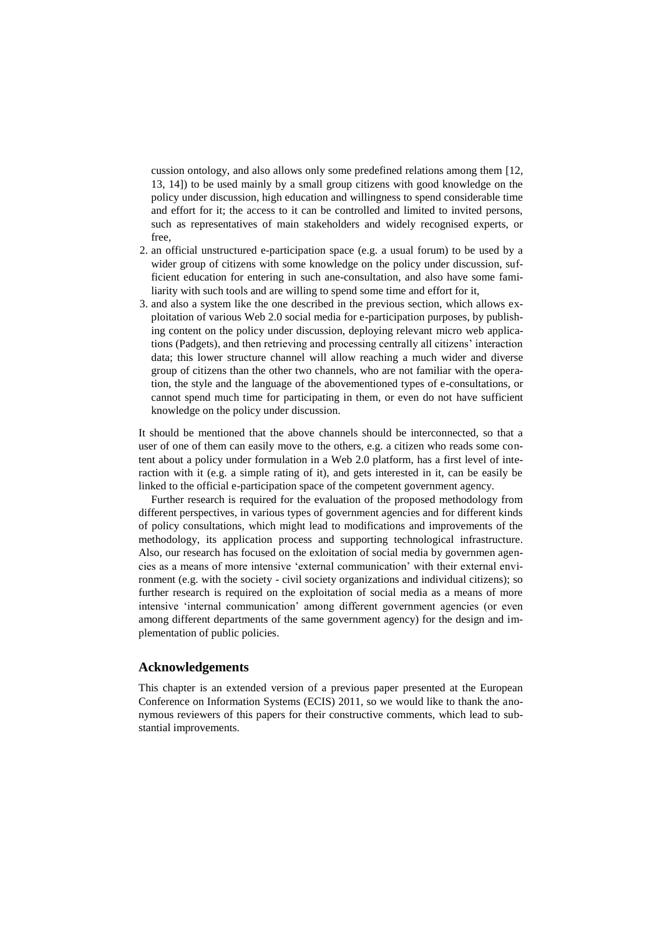cussion ontology, and also allows only some predefined relations among them [12, 13, 14]) to be used mainly by a small group citizens with good knowledge on the policy under discussion, high education and willingness to spend considerable time and effort for it; the access to it can be controlled and limited to invited persons, such as representatives of main stakeholders and widely recognised experts, or free,

- 2. an official unstructured e-participation space (e.g. a usual forum) to be used by a wider group of citizens with some knowledge on the policy under discussion, sufficient education for entering in such ane-consultation, and also have some familiarity with such tools and are willing to spend some time and effort for it,
- 3. and also a system like the one described in the previous section, which allows exploitation of various Web 2.0 social media for e-participation purposes, by publishing content on the policy under discussion, deploying relevant micro web applications (Padgets), and then retrieving and processing centrally all citizens" interaction data; this lower structure channel will allow reaching a much wider and diverse group of citizens than the other two channels, who are not familiar with the operation, the style and the language of the abovementioned types of e-consultations, or cannot spend much time for participating in them, or even do not have sufficient knowledge on the policy under discussion.

It should be mentioned that the above channels should be interconnected, so that a user of one of them can easily move to the others, e.g. a citizen who reads some content about a policy under formulation in a Web 2.0 platform, has a first level of interaction with it (e.g. a simple rating of it), and gets interested in it, can be easily be linked to the official e-participation space of the competent government agency.

Further research is required for the evaluation of the proposed methodology from different perspectives, in various types of government agencies and for different kinds of policy consultations, which might lead to modifications and improvements of the methodology, its application process and supporting technological infrastructure. Also, our research has focused on the exloitation of social media by governmen agencies as a means of more intensive "external communication" with their external environment (e.g. with the society - civil society organizations and individual citizens); so further research is required on the exploitation of social media as a means of more intensive "internal communication" among different government agencies (or even among different departments of the same government agency) for the design and implementation of public policies.

#### **Acknowledgements**

This chapter is an extended version of a previous paper presented at the European Conference on Information Systems (ECIS) 2011, so we would like to thank the anonymous reviewers of this papers for their constructive comments, which lead to substantial improvements.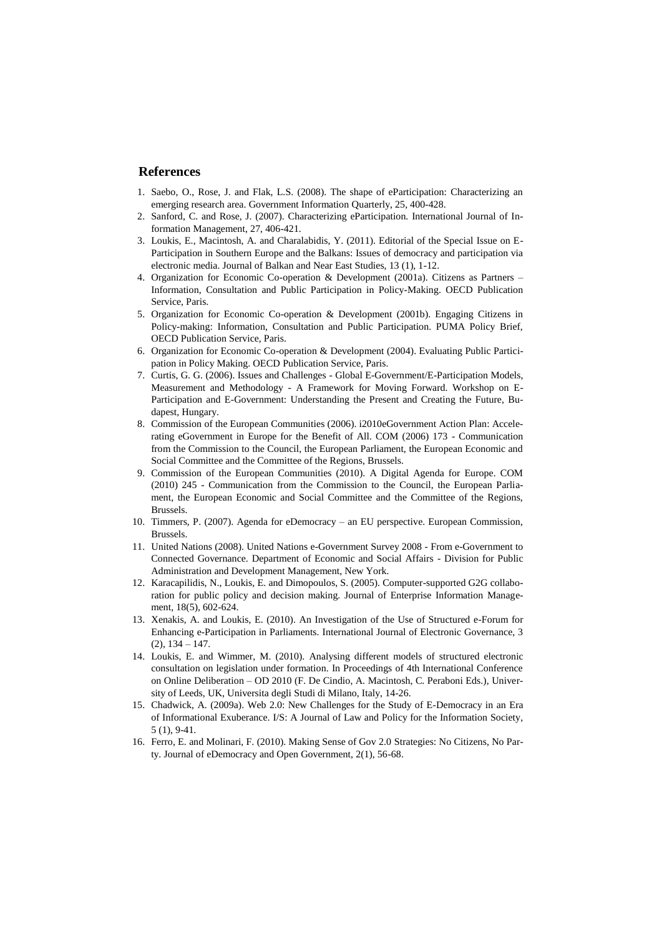#### **References**

- 1. Saebo, O., Rose, J. and Flak, L.S. (2008). The shape of eParticipation: Characterizing an emerging research area. Government Information Quarterly, 25, 400-428.
- 2. Sanford, C. and Rose, J. (2007). Characterizing eParticipation. International Journal of Information Management, 27, 406-421.
- 3. Loukis, E., Macintosh, A. and Charalabidis, Y. (2011). Editorial of the Special Issue on E-Participation in Southern Europe and the Balkans: Issues of democracy and participation via electronic media. Journal of Balkan and Near East Studies, 13 (1), 1-12.
- 4. Organization for Economic Co-operation & Development (2001a). Citizens as Partners Information, Consultation and Public Participation in Policy-Making. OECD Publication Service, Paris.
- 5. Organization for Economic Co-operation & Development (2001b). Engaging Citizens in Policy-making: Information, Consultation and Public Participation. PUMA Policy Brief, OECD Publication Service, Paris.
- 6. Organization for Economic Co-operation & Development (2004). Evaluating Public Participation in Policy Making. OECD Publication Service, Paris.
- 7. Curtis, G. G. (2006). Issues and Challenges Global E-Government/E-Participation Models, Measurement and Methodology - A Framework for Moving Forward. Workshop on E-Participation and E-Government: Understanding the Present and Creating the Future, Budapest, Hungary.
- 8. Commission of the European Communities (2006). i2010eGovernment Action Plan: Accelerating eGovernment in Europe for the Benefit of All. COM (2006) 173 - Communication from the Commission to the Council, the European Parliament, the European Economic and Social Committee and the Committee of the Regions, Brussels.
- 9. Commission of the European Communities (2010). A Digital Agenda for Europe. COM (2010) 245 - Communication from the Commission to the Council, the European Parliament, the European Economic and Social Committee and the Committee of the Regions, Brussels.
- 10. Timmers, P. (2007). Agenda for eDemocracy an EU perspective. European Commission, Brussels.
- 11. United Nations (2008). United Nations e-Government Survey 2008 From e-Government to Connected Governance. Department of Economic and Social Affairs - Division for Public Administration and Development Management, New York.
- 12. Karacapilidis, N., Loukis, E. and Dimopoulos, S. (2005). Computer-supported G2G collaboration for public policy and decision making. Journal of Enterprise Information Management, 18(5), 602-624.
- 13. Xenakis, A. and Loukis, E. (2010). An Investigation of the Use of Structured e-Forum for Enhancing e-Participation in Parliaments. International Journal of Electronic Governance, 3  $(2)$ ,  $134 - 147$ .
- 14. Loukis, E. and Wimmer, M. (2010). Analysing different models of structured electronic consultation on legislation under formation. In Proceedings of 4th International Conference on Online Deliberation – OD 2010 (F. De Cindio, A. Macintosh, C. Peraboni Eds.), University of Leeds, UK, Universita degli Studi di Milano, Italy, 14-26.
- 15. Chadwick, A. (2009a). Web 2.0: New Challenges for the Study of E-Democracy in an Era of Informational Exuberance. I/S: A Journal of Law and Policy for the Information Society, 5 (1), 9-41.
- 16. Ferro, E. and Molinari, F. (2010). Making Sense of Gov 2.0 Strategies: No Citizens, No Party. Journal of eDemocracy and Open Government, 2(1), 56-68.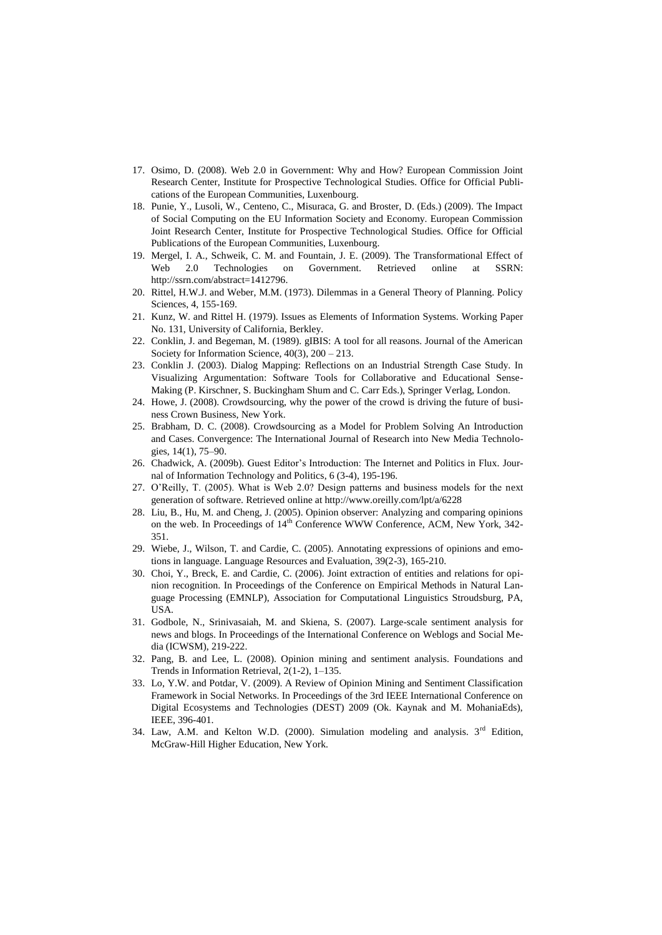- 17. Osimo, D. (2008). Web 2.0 in Government: Why and How? European Commission Joint Research Center, Institute for Prospective Technological Studies. Office for Official Publications of the European Communities, Luxenbourg.
- 18. Punie, Y., Lusoli, W., Centeno, C., Misuraca, G. and Broster, D. (Eds.) (2009). The Impact of Social Computing on the EU Information Society and Economy. European Commission Joint Research Center, Institute for Prospective Technological Studies. Office for Official Publications of the European Communities, Luxenbourg.
- 19. Mergel, I. A., Schweik, C. M. and Fountain, J. E. (2009). The Transformational Effect of Web 2.0 Technologies on Government. Retrieved online at SSRN: [http://ssrn.com/abstract=1412796.](http://ssrn.com/abstract=1412796)
- 20. Rittel, H.W.J. and Weber, M.M. (1973). Dilemmas in a General Theory of Planning. Policy Sciences, 4, 155-169.
- 21. Kunz, W. and Rittel H. (1979). Issues as Elements of Information Systems. Working Paper No. 131, University of California, Berkley.
- 22. Conklin, J. and Begeman, M. (1989). gIBIS: A tool for all reasons. Journal of the American Society for Information Science, 40(3), 200 – 213.
- 23. Conklin J. (2003). Dialog Mapping: Reflections on an Industrial Strength Case Study. In Visualizing Argumentation: Software Tools for Collaborative and Educational Sense-Making (P. Kirschner, S. Buckingham Shum and C. Carr Eds.), Springer Verlag, London.
- 24. Howe, J. (2008). Crowdsourcing, why the power of the crowd is driving the future of business Crown Business, New York.
- 25. Brabham, D. C. (2008). Crowdsourcing as a Model for Problem Solving An Introduction and Cases. Convergence: The International Journal of Research into New Media Technologies, 14(1), 75–90.
- 26. Chadwick, A. (2009b). Guest Editor"s Introduction: The Internet and Politics in Flux. Journal of Information Technology and Politics, 6 (3-4), 195-196.
- 27. O"Reilly, T. (2005). What is Web 2.0? Design patterns and business models for the next generation of software. Retrieved online at http://www.oreilly.com/lpt/a/6228
- 28. Liu, B., Hu, M. and Cheng, J. (2005). Opinion observer: Analyzing and comparing opinions on the web. In Proceedings of 14<sup>th</sup> Conference WWW Conference, ACM, New York, 342-351.
- 29. Wiebe, J., Wilson, T. and Cardie, C. (2005). Annotating expressions of opinions and emotions in language. Language Resources and Evaluation, 39(2-3), 165-210.
- 30. Choi, Y., Breck, E. and Cardie, C. (2006). Joint extraction of entities and relations for opinion recognition. In Proceedings of the Conference on Empirical Methods in Natural Language Processing (EMNLP), Association for Computational Linguistics Stroudsburg, PA, USA.
- 31. Godbole, N., Srinivasaiah, M. and Skiena, S. (2007). Large-scale sentiment analysis for news and blogs. In Proceedings of the International Conference on Weblogs and Social Media (ICWSM), 219-222.
- 32. Pang, B. and Lee, L. (2008). Opinion mining and sentiment analysis. Foundations and Trends in Information Retrieval, 2(1-2), 1–135.
- 33. Lo, Y.W. and Potdar, V. (2009). A Review of Opinion Mining and Sentiment Classification Framework in Social Networks. In Proceedings of the 3rd IEEE International Conference on Digital Ecosystems and Technologies (DEST) 2009 (Ok. Kaynak and M. MohaniaEds), IEEE, 396-401.
- 34. Law, A.M. and Kelton W.D. (2000). Simulation modeling and analysis. 3<sup>rd</sup> Edition, McGraw-Hill Higher Education, New York.